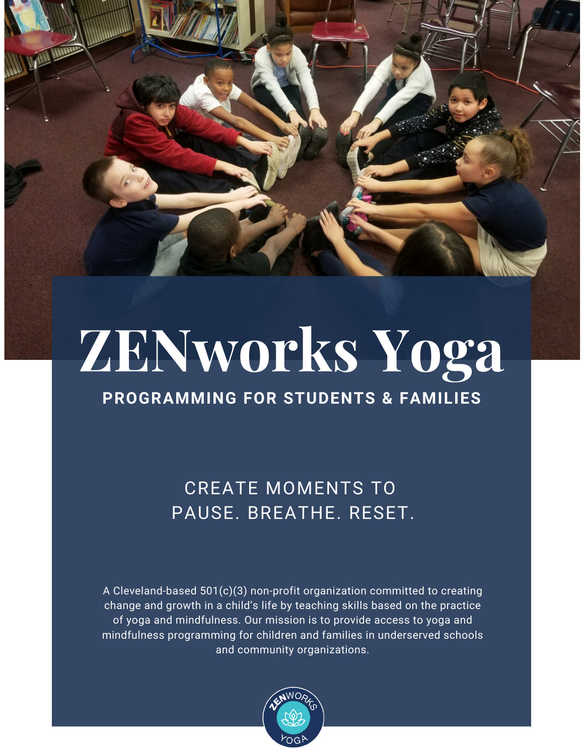# **ZENworks Yoga**

#### **PROGRAMMING FOR STUDENTS & FAMILIES**

CREATE MOMENTS TO PAUSE. BREATHE. RESET.

A Cleveland-based 501(c)(3) non-profit organization committed to creating change and growth in a child's life by teaching skills based on the practice of yoga and mindfulness. Our mission is to provide access to yoga and mindfulness programming for children and families in underserved schools and community organizations.

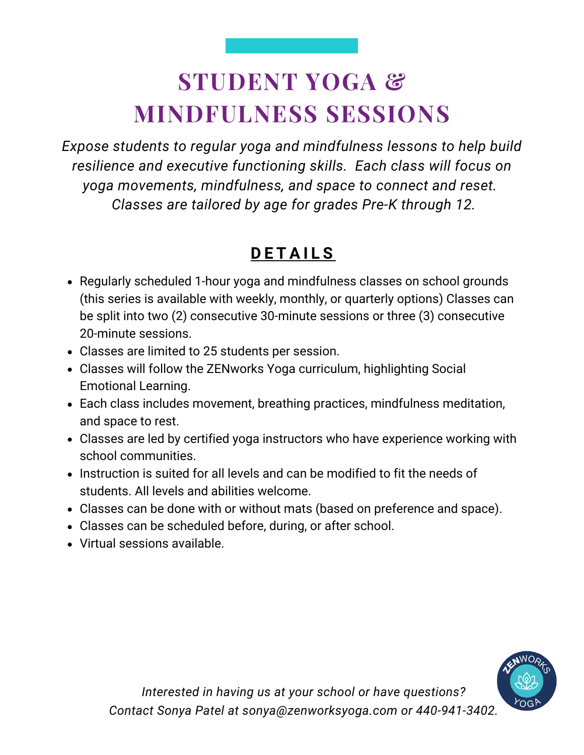# **STUDENT YOGA & MINDFULNESS SESSIONS**

*Expose students to regular yoga and mindfulness lessons to help build resilience and executive functioning skills. Each class will focus on yoga movements, mindfulness, and space to connect and reset. Classes are tailored by age for grades Pre-K through 12.*

## **D E T A I L S**

- Regularly scheduled 1-hour yoga and mindfulness classes on school grounds (this series is available with weekly, monthly, or quarterly options) Classes can be split into two (2) consecutive 30-minute sessions or three (3) consecutive 20-minute sessions.
- Classes are limited to 25 students per session.
- Classes will follow the ZENworks Yoga curriculum, highlighting Social Emotional Learning.
- Each class includes movement, breathing practices, mindfulness meditation, and space to rest.
- Classes are led by certified yoga instructors who have experience working with school communities.
- Instruction is suited for all levels and can be modified to fit the needs of students. All levels and abilities welcome.
- Classes can be done with or without mats (based on preference and space).
- Classes can be scheduled before, during, or after school.
- Virtual sessions available.



*Interested in having us at your school or have questions? Contact Sonya Patel at sonya@zenworksyoga.com or 440-941-3402.*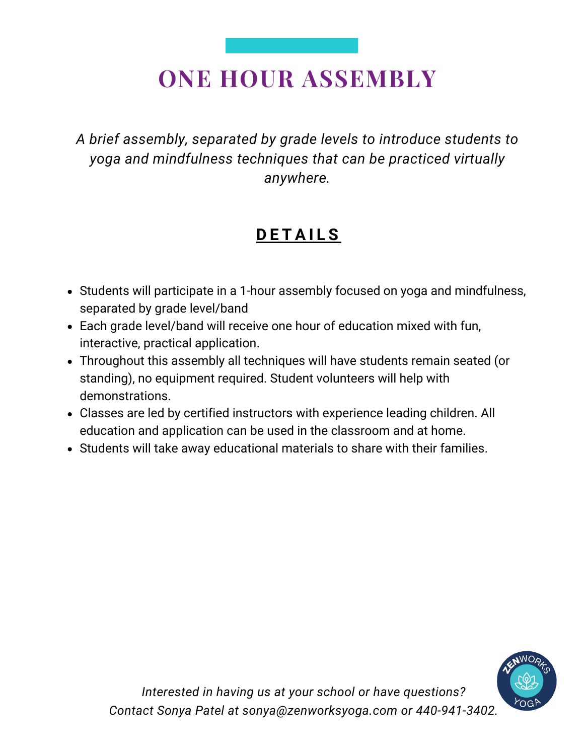# **ONE HOUR ASSEMBLY**

#### *A brief assembly, separated by grade levels to introduce students to yoga and mindfulness techniques that can be practiced virtually anywhere.*

## **D E T A I L S**

- Students will participate in a 1-hour assembly focused on yoga and mindfulness, separated by grade level/band
- Each grade level/band will receive one hour of education mixed with fun, interactive, practical application.
- Throughout this assembly all techniques will have students remain seated (or standing), no equipment required. Student volunteers will help with demonstrations.
- Classes are led by certified instructors with experience leading children. All education and application can be used in the classroom and at home.
- Students will take away educational materials to share with their families.



*Interested in having us at your school or have questions? Contact Sonya Patel at sonya@zenworksyoga.com or 440-941-3402.*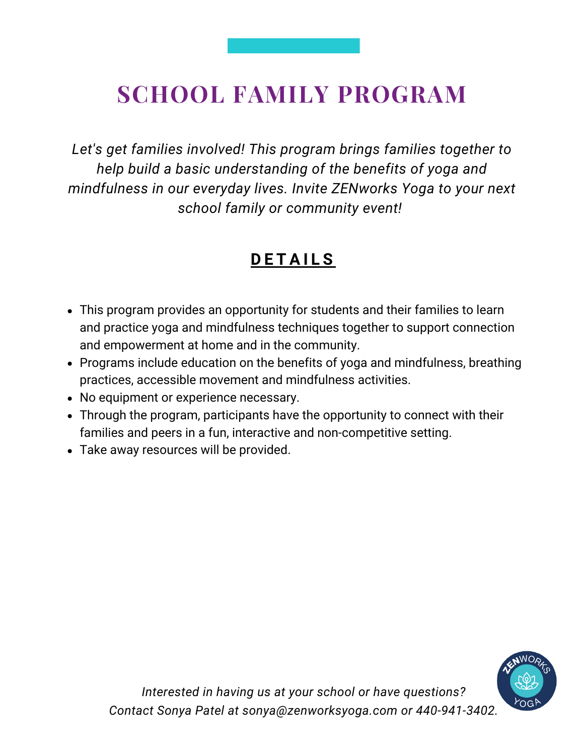## **SCHOOL FAMILY PROGRAM**

*Let's get families involved! This program brings families together to help build a basic understanding of the benefits of yoga and mindfulness in our everyday lives. Invite ZENworks Yoga to your next school family or community event!*

## **D E T A I L S**

- This program provides an opportunity for students and their families to learn and practice yoga and mindfulness techniques together to support connection and empowerment at home and in the community.
- Programs include education on the benefits of yoga and mindfulness, breathing practices, accessible movement and mindfulness activities.
- No equipment or experience necessary.
- Through the program, participants have the opportunity to connect with their families and peers in a fun, interactive and non-competitive setting.
- Take away resources will be provided.

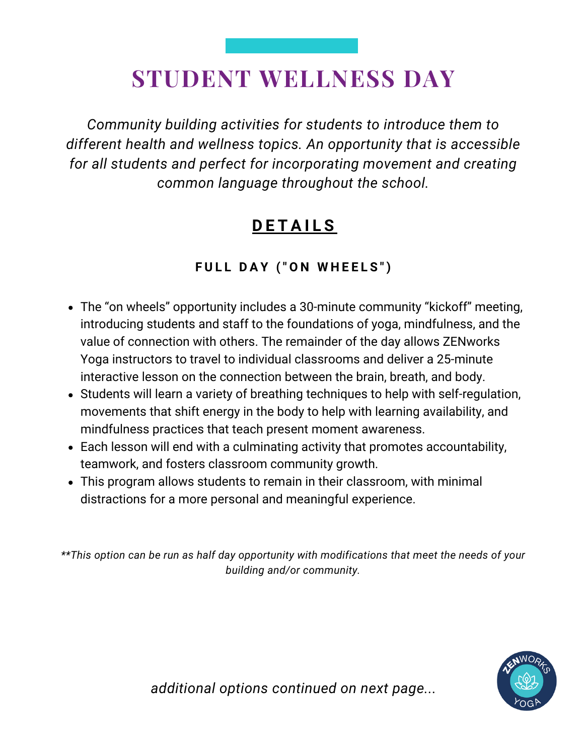# **STUDENT WELLNESS DAY**

*Community building activities for students to introduce them to different health and wellness topics. An opportunity that is accessible for all students and perfect for incorporating movement and creating common language throughout the school.*

## **D E T A I L S**

#### **F U L L D A Y ( " O N W H E E L S " )**

- The "on wheels" opportunity includes a 30-minute community "kickoff" meeting, introducing students and staff to the foundations of yoga, mindfulness, and the value of connection with others. The remainder of the day allows ZENworks Yoga instructors to travel to individual classrooms and deliver a 25-minute interactive lesson on the connection between the brain, breath, and body.
- Students will learn a variety of breathing techniques to help with self-regulation, movements that shift energy in the body to help with learning availability, and mindfulness practices that teach present moment awareness.
- Each lesson will end with a culminating activity that promotes accountability, teamwork, and fosters classroom community growth.
- This program allows students to remain in their classroom, with minimal distractions for a more personal and meaningful experience.

*\*\*This option can be run as half day opportunity with modifications that meet the needs of your building and/or community.*



*additional options continued on next page...*